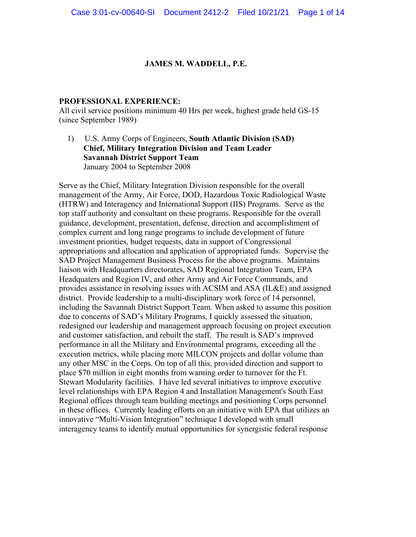#### **JAMES M. WADDELL, P.E.**

#### **PROFESSIONAL EXPERIENCE:**

All civil service positions minimum 40 Hrs per week, highest grade held GS-15 (since September 1989)

1) U.S. Army Corps of Engineers, **South Atlantic Division (SAD) Chief, Military Integration Division and Team Leader Savannah District Support Team** January 2004 to September 2008

Serve as the Chief, Military Integration Division responsible for the overall management of the Army, Air Force, DOD, Hazardous Toxic Radiological Waste (HTRW) and Interagency and International Support (IIS) Programs. Serve as the top staff authority and consultant on these programs. Responsible for the overall guidance, development, presentation, defense, direction and accomplishment of complex current and long range programs to include development of future investment priorities, budget requests, data in support of Congressional appropriations and allocation and application of appropriated funds. Supervise the SAD Project Management Business Process for the above programs. Maintains liaison with Headquarters directorates, SAD Regional Integration Team, EPA Headquaters and Region IV, and other Army and Air Force Commands, and provides assistance in resolving issues with ACSIM and ASA (IL&E) and assigned district. Provide leadership to a multi-disciplinary work force of 14 personnel, including the Savannah District Support Team. When asked to assume this position due to concerns of SAD's Military Programs, I quickly assessed the situation, redesigned our leadership and management approach focusing on project execution and customer satisfaction, and rebuilt the staff. The result is SAD's improved performance in all the Military and Environmental programs, exceeding all the execution metrics, while placing more MILCON projects and dollar volume than any other MSC in the Corps. On top of all this, provided direction and support to place \$70 million in eight months from warning order to turnover for the Ft. Stewart Modularity facilities. I have led several initiatives to improve executive level relationships with EPA Region 4 and Installation Management's South East Regional offices through team building meetings and positioning Corps personnel in these offices. Currently leading efforts on an initiative with EPA that utilizes an innovative "Multi-Vision Integration" technique I developed with small interagency teams to identify mutual opportunities for synergistic federal response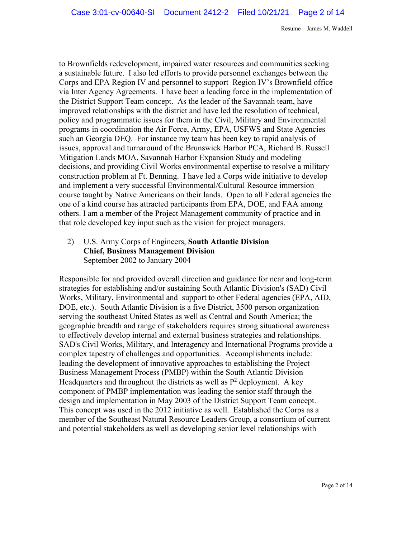to Brownfields redevelopment, impaired water resources and communities seeking a sustainable future. I also led efforts to provide personnel exchanges between the Corps and EPA Region IV and personnel to support Region IV's Brownfield office via Inter Agency Agreements. I have been a leading force in the implementation of the District Support Team concept. As the leader of the Savannah team, have improved relationships with the district and have led the resolution of technical, policy and programmatic issues for them in the Civil, Military and Environmental programs in coordination the Air Force, Army, EPA, USFWS and State Agencies such an Georgia DEQ. For instance my team has been key to rapid analysis of issues, approval and turnaround of the Brunswick Harbor PCA, Richard B. Russell Mitigation Lands MOA, Savannah Harbor Expansion Study and modeling decisions, and providing Civil Works environmental expertise to resolve a military construction problem at Ft. Benning. I have led a Corps wide initiative to develop and implement a very successful Environmental/Cultural Resource immersion course taught by Native Americans on their lands. Open to all Federal agencies the one of a kind course has attracted participants from EPA, DOE, and FAA among others. I am a member of the Project Management community of practice and in that role developed key input such as the vision for project managers.

## 2) U.S. Army Corps of Engineers, **South Atlantic Division Chief, Business Management Division** September 2002 to January 2004

Responsible for and provided overall direction and guidance for near and long-term strategies for establishing and/or sustaining South Atlantic Division's (SAD) Civil Works, Military, Environmental and support to other Federal agencies (EPA, AID, DOE, etc.). South Atlantic Division is a five District, 3500 person organization serving the southeast United States as well as Central and South America; the geographic breadth and range of stakeholders requires strong situational awareness to effectively develop internal and external business strategies and relationships. SAD's Civil Works, Military, and Interagency and International Programs provide a complex tapestry of challenges and opportunities. Accomplishments include: leading the development of innovative approaches to establishing the Project Business Management Process (PMBP) within the South Atlantic Division Headquarters and throughout the districts as well as  $P^2$  deployment. A key component of PMBP implementation was leading the senior staff through the design and implementation in May 2003 of the District Support Team concept. This concept was used in the 2012 initiative as well. Established the Corps as a member of the Southeast Natural Resource Leaders Group, a consortium of current and potential stakeholders as well as developing senior level relationships with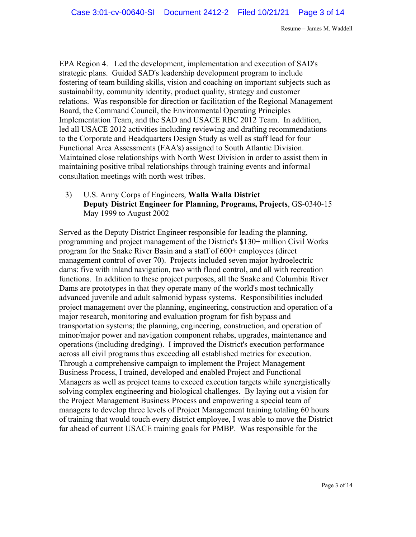EPA Region 4. Led the development, implementation and execution of SAD's strategic plans. Guided SAD's leadership development program to include fostering of team building skills, vision and coaching on important subjects such as sustainability, community identity, product quality, strategy and customer relations. Was responsible for direction or facilitation of the Regional Management Board, the Command Council, the Environmental Operating Principles Implementation Team, and the SAD and USACE RBC 2012 Team. In addition, led all USACE 2012 activities including reviewing and drafting recommendations to the Corporate and Headquarters Design Study as well as staff lead for four Functional Area Assessments (FAA's) assigned to South Atlantic Division. Maintained close relationships with North West Division in order to assist them in maintaining positive tribal relationships through training events and informal consultation meetings with north west tribes.

3) U.S. Army Corps of Engineers, **Walla Walla District Deputy District Engineer for Planning, Programs, Projects**, GS-0340-15 May 1999 to August 2002

Served as the Deputy District Engineer responsible for leading the planning, programming and project management of the District's \$130+ million Civil Works program for the Snake River Basin and a staff of 600+ employees (direct management control of over 70). Projects included seven major hydroelectric dams: five with inland navigation, two with flood control, and all with recreation functions. In addition to these project purposes, all the Snake and Columbia River Dams are prototypes in that they operate many of the world's most technically advanced juvenile and adult salmonid bypass systems. Responsibilities included project management over the planning, engineering, construction and operation of a major research, monitoring and evaluation program for fish bypass and transportation systems; the planning, engineering, construction, and operation of minor/major power and navigation component rehabs, upgrades, maintenance and operations (including dredging). I improved the District's execution performance across all civil programs thus exceeding all established metrics for execution. Through a comprehensive campaign to implement the Project Management Business Process, I trained, developed and enabled Project and Functional Managers as well as project teams to exceed execution targets while synergistically solving complex engineering and biological challenges. By laying out a vision for the Project Management Business Process and empowering a special team of managers to develop three levels of Project Management training totaling 60 hours of training that would touch every district employee, I was able to move the District far ahead of current USACE training goals for PMBP. Was responsible for the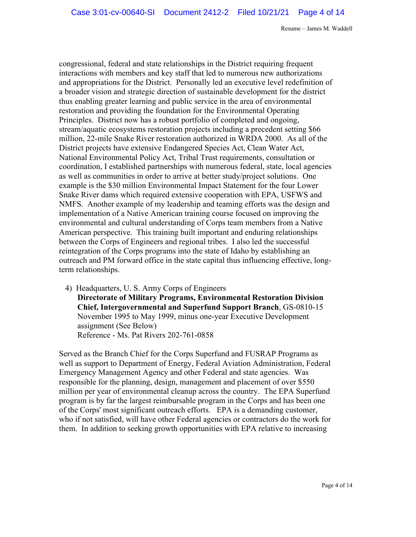congressional, federal and state relationships in the District requiring frequent interactions with members and key staff that led to numerous new authorizations and appropriations for the District. Personally led an executive level redefinition of a broader vision and strategic direction of sustainable development for the district thus enabling greater learning and public service in the area of environmental restoration and providing the foundation for the Environmental Operating Principles. District now has a robust portfolio of completed and ongoing, stream/aquatic ecosystems restoration projects including a precedent setting \$66 million, 22-mile Snake River restoration authorized in WRDA 2000. As all of the District projects have extensive Endangered Species Act, Clean Water Act, National Environmental Policy Act, Tribal Trust requirements, consultation or coordination, I established partnerships with numerous federal, state, local agencies as well as communities in order to arrive at better study/project solutions. One example is the \$30 million Environmental Impact Statement for the four Lower Snake River dams which required extensive cooperation with EPA, USFWS and NMFS. Another example of my leadership and teaming efforts was the design and implementation of a Native American training course focused on improving the environmental and cultural understanding of Corps team members from a Native American perspective. This training built important and enduring relationships between the Corps of Engineers and regional tribes. I also led the successful reintegration of the Corps programs into the state of Idaho by establishing an outreach and PM forward office in the state capital thus influencing effective, longterm relationships.

4) Headquarters, U. S. Army Corps of Engineers **Directorate of Military Programs, Environmental Restoration Division Chief, Intergovernmental and Superfund Support Branch**, GS-0810-15 November 1995 to May 1999, minus one-year Executive Development assignment (See Below) Reference - Ms. Pat Rivers 202-761-0858

Served as the Branch Chief for the Corps Superfund and FUSRAP Programs as well as support to Department of Energy, Federal Aviation Administration, Federal Emergency Management Agency and other Federal and state agencies. Was responsible for the planning, design, management and placement of over \$550 million per year of environmental cleanup across the country. The EPA Superfund program is by far the largest reimbursable program in the Corps and has been one of the Corps' most significant outreach efforts. EPA is a demanding customer, who if not satisfied, will have other Federal agencies or contractors do the work for them. In addition to seeking growth opportunities with EPA relative to increasing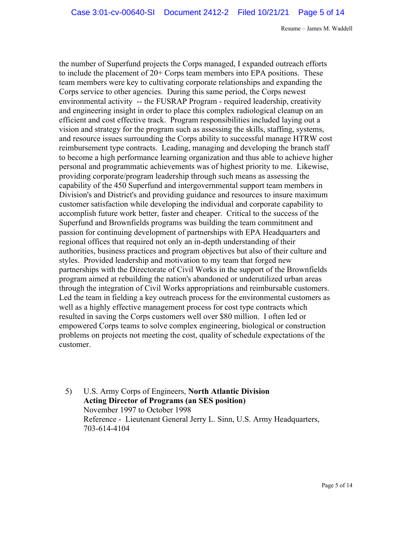the number of Superfund projects the Corps managed, I expanded outreach efforts to include the placement of 20+ Corps team members into EPA positions. These team members were key to cultivating corporate relationships and expanding the Corps service to other agencies. During this same period, the Corps newest environmental activity -- the FUSRAP Program - required leadership, creativity and engineering insight in order to place this complex radiological cleanup on an efficient and cost effective track. Program responsibilities included laying out a vision and strategy for the program such as assessing the skills, staffing, systems, and resource issues surrounding the Corps ability to successful manage HTRW cost reimbursement type contracts. Leading, managing and developing the branch staff to become a high performance learning organization and thus able to achieve higher personal and programmatic achievements was of highest priority to me. Likewise, providing corporate/program leadership through such means as assessing the capability of the 450 Superfund and intergovernmental support team members in Division's and District's and providing guidance and resources to insure maximum customer satisfaction while developing the individual and corporate capability to accomplish future work better, faster and cheaper. Critical to the success of the Superfund and Brownfields programs was building the team commitment and passion for continuing development of partnerships with EPA Headquarters and regional offices that required not only an in-depth understanding of their authorities, business practices and program objectives but also of their culture and styles. Provided leadership and motivation to my team that forged new partnerships with the Directorate of Civil Works in the support of the Brownfields program aimed at rebuilding the nation's abandoned or underutilized urban areas through the integration of Civil Works appropriations and reimbursable customers. Led the team in fielding a key outreach process for the environmental customers as well as a highly effective management process for cost type contracts which resulted in saving the Corps customers well over \$80 million. I often led or empowered Corps teams to solve complex engineering, biological or construction problems on projects not meeting the cost, quality of schedule expectations of the customer.

5) U.S. Army Corps of Engineers, **North Atlantic Division Acting Director of Programs (an SES position)** November 1997 to October 1998 Reference - Lieutenant General Jerry L. Sinn, U.S. Army Headquarters, 703-614-4104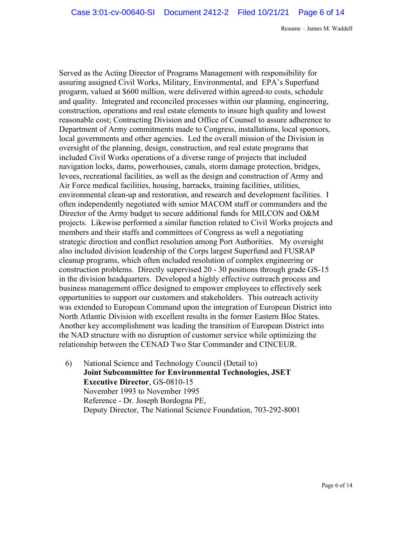Served as the Acting Director of Programs Management with responsibility for assuring assigned Civil Works, Military, Environmental, and EPA's Superfund progarm, valued at \$600 million, were delivered within agreed-to costs, schedule and quality. Integrated and reconciled processes within our planning, engineering, construction, operations and real estate elements to insure high quality and lowest reasonable cost; Contracting Division and Office of Counsel to assure adherence to Department of Army commitments made to Congress, installations, local sponsors, local governments and other agencies. Led the overall mission of the Division in oversight of the planning, design, construction, and real estate programs that included Civil Works operations of a diverse range of projects that included navigation locks, dams, powerhouses, canals, storm damage protection, bridges, levees, recreational facilities, as well as the design and construction of Army and Air Force medical facilities, housing, barracks, training facilities, utilities, environmental clean-up and restoration, and research and development facilities. I often independently negotiated with senior MACOM staff or commanders and the Director of the Army budget to secure additional funds for MILCON and O&M projects. Likewise performed a similar function related to Civil Works projects and members and their staffs and committees of Congress as well a negotiating strategic direction and conflict resolution among Port Authorities. My oversight also included division leadership of the Corps largest Superfund and FUSRAP cleanup programs, which often included resolution of complex engineering or construction problems. Directly supervised 20 - 30 positions through grade GS-15 in the division headquarters. Developed a highly effective outreach process and business management office designed to empower employees to effectively seek opportunities to support our customers and stakeholders. This outreach activity was extended to European Command upon the integration of European District into North Atlantic Division with excellent results in the former Eastern Bloc States. Another key accomplishment was leading the transition of European District into the NAD structure with no disruption of customer service while optimizing the relationship between the CENAD Two Star Commander and CINCEUR.

6) National Science and Technology Council (Detail to) **Joint Subcommittee for Environmental Technologies, JSET Executive Director**, GS-0810-15 November 1993 to November 1995 Reference - Dr. Joseph Bordogna PE, Deputy Director, The National Science Foundation, 703-292-8001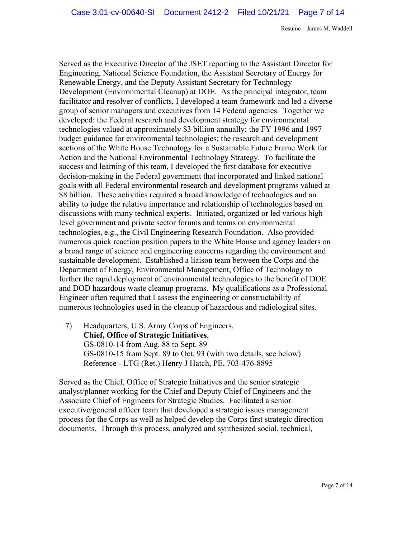Served as the Executive Director of the JSET reporting to the Assistant Director for Engineering, National Science Foundation, the Assistant Secretary of Energy for Renewable Energy, and the Deputy Assistant Secretary for Technology Development (Environmental Cleanup) at DOE. As the principal integrator, team facilitator and resolver of conflicts, I developed a team framework and led a diverse group of senior managers and executives from 14 Federal agencies. Together we developed: the Federal research and development strategy for environmental technologies valued at approximately \$3 billion annually; the FY 1996 and 1997 budget guidance for environmental technologies; the research and development sections of the White House Technology for a Sustainable Future Frame Work for Action and the National Environmental Technology Strategy. To facilitate the success and learning of this team, I developed the first database for executive decision-making in the Federal government that incorporated and linked national goals with all Federal environmental research and development programs valued at \$8 billion. These activities required a broad knowledge of technologies and an ability to judge the relative importance and relationship of technologies based on discussions with many technical experts. Initiated, organized or led various high level government and private sector forums and teams on environmental technologies, e.g., the Civil Engineering Research Foundation. Also provided numerous quick reaction position papers to the White House and agency leaders on a broad range of science and engineering concerns regarding the environment and sustainable development. Established a liaison team between the Corps and the Department of Energy, Environmental Management, Office of Technology to further the rapid deployment of environmental technologies to the benefit of DOE and DOD hazardous waste cleanup programs. My qualifications as a Professional Engineer often required that I assess the engineering or constructability of numerous technologies used in the cleanup of hazardous and radiological sites.

7) Headquarters, U.S. Army Corps of Engineers, **Chief, Office of Strategic Initiatives**, GS-0810-14 from Aug. 88 to Sept. 89 GS-0810-15 from Sept. 89 to Oct. 93 (with two details, see below) Reference - LTG (Ret.) Henry J Hatch, PE, 703-476-8895

Served as the Chief, Office of Strategic Initiatives and the senior strategic analyst/planner working for the Chief and Deputy Chief of Engineers and the Associate Chief of Engineers for Strategic Studies. Facilitated a senior executive/general officer team that developed a strategic issues management process for the Corps as well as helped develop the Corps first strategic direction documents. Through this process, analyzed and synthesized social, technical,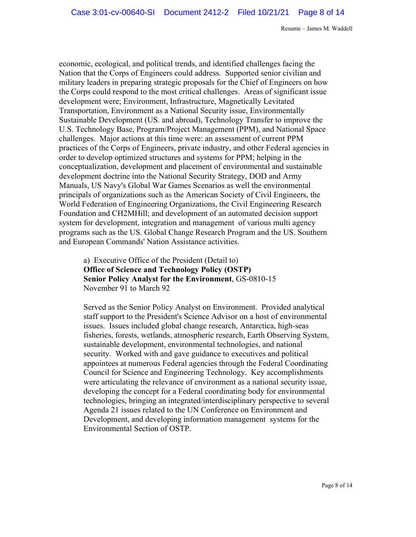economic, ecological, and political trends, and identified challenges facing the Nation that the Corps of Engineers could address. Supported senior civilian and military leaders in preparing strategic proposals for the Chief of Engineers on how the Corps could respond to the most critical challenges. Areas of significant issue development were; Environment, Infrastructure, Magnetically Levitated Transportation, Environment as a National Security issue, Environmentally Sustainable Development (US. and abroad), Technology Transfer to improve the U.S. Technology Base, Program/Project Management (PPM), and National Space challenges. Major actions at this time were: an assessment of current PPM practices of the Corps of Engineers, private industry, and other Federal agencies in order to develop optimized structures and systems for PPM; helping in the conceptualization, development and placement of environmental and sustainable development doctrine into the National Security Strategy, DOD and Army Manuals, US Navy's Global War Games Scenarios as well the environmental principals of organizations such as the American Society of Civil Engineers, the World Federation of Engineering Organizations, the Civil Engineering Research Foundation and CH2MHill; and development of an automated decision support system for development, integration and management of various multi agency programs such as the US. Global Change Research Program and the US. Southern and European Commands' Nation Assistance activities.

## a) Executive Office of the President (Detail to) **Office of Science and Technology Policy (OSTP) Senior Policy Analyst for the Environment**, GS-0810-15 November 91 to March 92

Served as the Senior Policy Analyst on Environment. Provided analytical staff support to the President's Science Advisor on a host of environmental issues. Issues included global change research, Antarctica, high-seas fisheries, forests, wetlands, atmospheric research, Earth Observing System, sustainable development, environmental technologies, and national security. Worked with and gave guidance to executives and political appointees at numerous Federal agencies through the Federal Coordinating Council for Science and Engineering Technology. Key accomplishments were articulating the relevance of environment as a national security issue, developing the concept for a Federal coordinating body for environmental technologies, bringing an integrated/interdisciplinary perspective to several Agenda 21 issues related to the UN Conference on Environment and Development, and developing information management systems for the Environmental Section of OSTP.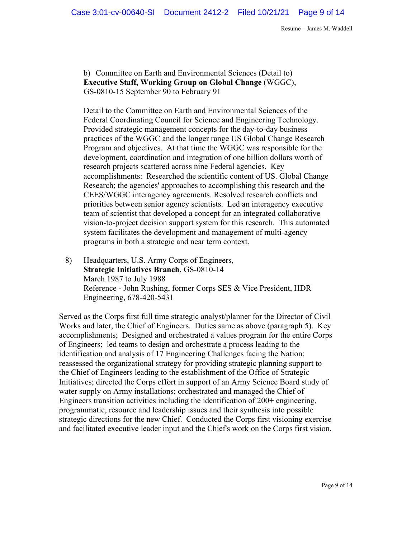b) Committee on Earth and Environmental Sciences (Detail to) **Executive Staff, Working Group on Global Change** (WGGC), GS-0810-15 September 90 to February 91

Detail to the Committee on Earth and Environmental Sciences of the Federal Coordinating Council for Science and Engineering Technology. Provided strategic management concepts for the day-to-day business practices of the WGGC and the longer range US Global Change Research Program and objectives. At that time the WGGC was responsible for the development, coordination and integration of one billion dollars worth of research projects scattered across nine Federal agencies. Key accomplishments: Researched the scientific content of US. Global Change Research; the agencies' approaches to accomplishing this research and the CEES/WGGC interagency agreements. Resolved research conflicts and priorities between senior agency scientists. Led an interagency executive team of scientist that developed a concept for an integrated collaborative vision-to-project decision support system for this research. This automated system facilitates the development and management of multi-agency programs in both a strategic and near term context.

8) Headquarters, U.S. Army Corps of Engineers, **Strategic Initiatives Branch**, GS-0810-14 March 1987 to July 1988 Reference - John Rushing, former Corps SES & Vice President, HDR Engineering, 678-420-5431

Served as the Corps first full time strategic analyst/planner for the Director of Civil Works and later, the Chief of Engineers. Duties same as above (paragraph 5). Key accomplishments; Designed and orchestrated a values program for the entire Corps of Engineers; led teams to design and orchestrate a process leading to the identification and analysis of 17 Engineering Challenges facing the Nation; reassessed the organizational strategy for providing strategic planning support to the Chief of Engineers leading to the establishment of the Office of Strategic Initiatives; directed the Corps effort in support of an Army Science Board study of water supply on Army installations; orchestrated and managed the Chief of Engineers transition activities including the identification of 200+ engineering, programmatic, resource and leadership issues and their synthesis into possible strategic directions for the new Chief. Conducted the Corps first visioning exercise and facilitated executive leader input and the Chief's work on the Corps first vision.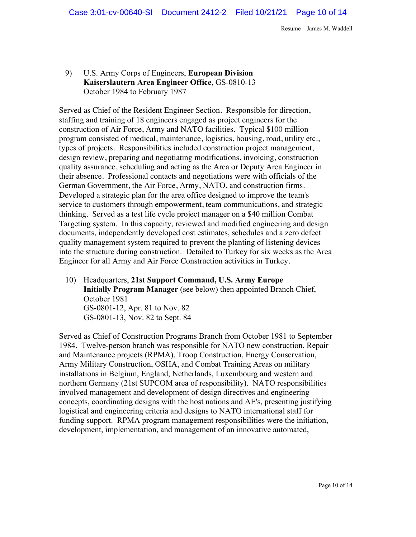# 9) U.S. Army Corps of Engineers, **European Division Kaiserslautern Area Engineer Office**, GS-0810-13 October 1984 to February 1987

Served as Chief of the Resident Engineer Section. Responsible for direction, staffing and training of 18 engineers engaged as project engineers for the construction of Air Force, Army and NATO facilities. Typical \$100 million program consisted of medical, maintenance, logistics, housing, road, utility etc., types of projects. Responsibilities included construction project management, design review, preparing and negotiating modifications, invoicing, construction quality assurance, scheduling and acting as the Area or Deputy Area Engineer in their absence. Professional contacts and negotiations were with officials of the German Government, the Air Force, Army, NATO, and construction firms. Developed a strategic plan for the area office designed to improve the team's service to customers through empowerment, team communications, and strategic thinking. Served as a test life cycle project manager on a \$40 million Combat Targeting system. In this capacity, reviewed and modified engineering and design documents, independently developed cost estimates, schedules and a zero defect quality management system required to prevent the planting of listening devices into the structure during construction. Detailed to Turkey for six weeks as the Area Engineer for all Army and Air Force Construction activities in Turkey.

10) Headquarters, **21st Support Command, U.S. Army Europe Initially Program Manager** (see below) then appointed Branch Chief, October 1981 GS-0801-12, Apr. 81 to Nov. 82 GS-0801-13, Nov. 82 to Sept. 84

Served as Chief of Construction Programs Branch from October 1981 to September 1984. Twelve-person branch was responsible for NATO new construction, Repair and Maintenance projects (RPMA), Troop Construction, Energy Conservation, Army Military Construction, OSHA, and Combat Training Areas on military installations in Belgium, England, Netherlands, Luxembourg and western and northern Germany (21st SUPCOM area of responsibility). NATO responsibilities involved management and development of design directives and engineering concepts, coordinating designs with the host nations and AE's, presenting justifying logistical and engineering criteria and designs to NATO international staff for funding support. RPMA program management responsibilities were the initiation, development, implementation, and management of an innovative automated,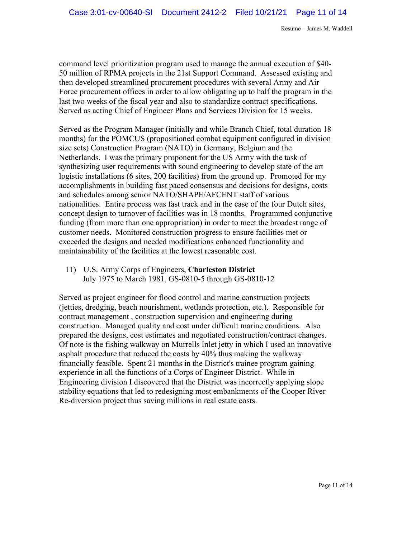command level prioritization program used to manage the annual execution of \$40- 50 million of RPMA projects in the 21st Support Command. Assessed existing and then developed streamlined procurement procedures with several Army and Air Force procurement offices in order to allow obligating up to half the program in the last two weeks of the fiscal year and also to standardize contract specifications. Served as acting Chief of Engineer Plans and Services Division for 15 weeks.

Served as the Program Manager (initially and while Branch Chief, total duration 18 months) for the POMCUS (propositioned combat equipment configured in division size sets) Construction Program (NATO) in Germany, Belgium and the Netherlands. I was the primary proponent for the US Army with the task of synthesizing user requirements with sound engineering to develop state of the art logistic installations (6 sites, 200 facilities) from the ground up. Promoted for my accomplishments in building fast paced consensus and decisions for designs, costs and schedules among senior NATO/SHAPE/AFCENT staff of various nationalities. Entire process was fast track and in the case of the four Dutch sites, concept design to turnover of facilities was in 18 months. Programmed conjunctive funding (from more than one appropriation) in order to meet the broadest range of customer needs. Monitored construction progress to ensure facilities met or exceeded the designs and needed modifications enhanced functionality and maintainability of the facilities at the lowest reasonable cost.

11) U.S. Army Corps of Engineers, **Charleston District** July 1975 to March 1981, GS-0810-5 through GS-0810-12

Served as project engineer for flood control and marine construction projects (jetties, dredging, beach nourishment, wetlands protection, etc.). Responsible for contract management , construction supervision and engineering during construction. Managed quality and cost under difficult marine conditions. Also prepared the designs, cost estimates and negotiated construction/contract changes. Of note is the fishing walkway on Murrells Inlet jetty in which I used an innovative asphalt procedure that reduced the costs by 40% thus making the walkway financially feasible. Spent 21 months in the District's trainee program gaining experience in all the functions of a Corps of Engineer District. While in Engineering division I discovered that the District was incorrectly applying slope stability equations that led to redesigning most embankments of the Cooper River Re-diversion project thus saving millions in real estate costs.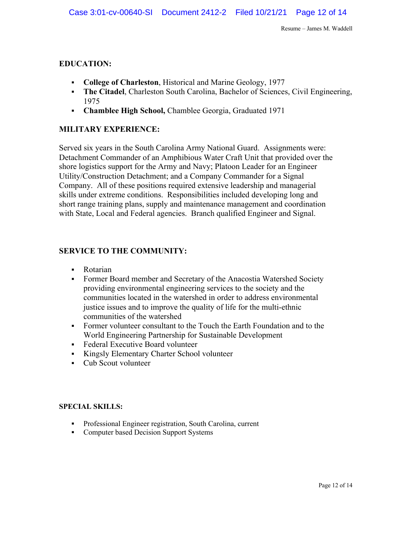# **EDUCATION:**

- § **College of Charleston**, Historical and Marine Geology, 1977
- **The Citadel**, Charleston South Carolina, Bachelor of Sciences, Civil Engineering, 1975
- § **Chamblee High School,** Chamblee Georgia, Graduated 1971

## **MILITARY EXPERIENCE:**

Served six years in the South Carolina Army National Guard. Assignments were: Detachment Commander of an Amphibious Water Craft Unit that provided over the shore logistics support for the Army and Navy; Platoon Leader for an Engineer Utility/Construction Detachment; and a Company Commander for a Signal Company. All of these positions required extensive leadership and managerial skills under extreme conditions. Responsibilities included developing long and short range training plans, supply and maintenance management and coordination with State, Local and Federal agencies. Branch qualified Engineer and Signal.

## **SERVICE TO THE COMMUNITY:**

- § Rotarian
- § Former Board member and Secretary of the Anacostia Watershed Society providing environmental engineering services to the society and the communities located in the watershed in order to address environmental justice issues and to improve the quality of life for the multi-ethnic communities of the watershed
- Former volunteer consultant to the Touch the Earth Foundation and to the World Engineering Partnership for Sustainable Development
- Federal Executive Board volunteer
- § Kingsly Elementary Charter School volunteer
- Cub Scout volunteer

#### **SPECIAL SKILLS:**

- Professional Engineer registration, South Carolina, current
- Computer based Decision Support Systems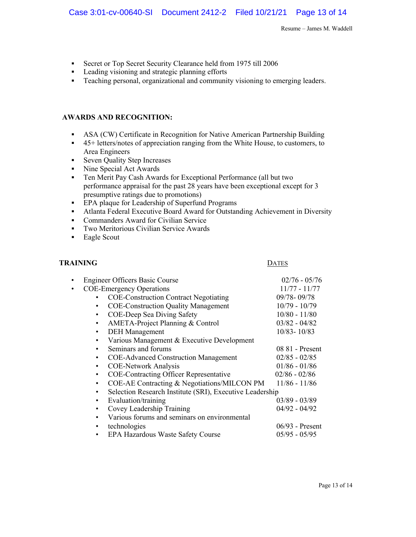- § Secret or Top Secret Security Clearance held from 1975 till 2006
- Leading visioning and strategic planning efforts
- Teaching personal, organizational and community visioning to emerging leaders.

#### **AWARDS AND RECOGNITION:**

- **ASA (CW) Certificate in Recognition for Native American Partnership Building**
- § 45+ letters/notes of appreciation ranging from the White House, to customers, to Area Engineers
- Seven Quality Step Increases
- Nine Special Act Awards
- Ten Merit Pay Cash Awards for Exceptional Performance (all but two performance appraisal for the past 28 years have been exceptional except for 3 presumptive ratings due to promotions)
- **•** EPA plaque for Leadership of Superfund Programs
- § Atlanta Federal Executive Board Award for Outstanding Achievement in Diversity
- Commanders Award for Civilian Service
- Two Meritorious Civilian Service Awards
- Eagle Scout

#### **TRAINING** DATES

|                                                                       | <b>Engineer Officers Basic Course</b>                      | $02/76 - 05/76$   |
|-----------------------------------------------------------------------|------------------------------------------------------------|-------------------|
| $\bullet$                                                             | <b>COE-Emergency Operations</b>                            | $11/77 - 11/77$   |
|                                                                       | <b>COE-Construction Contract Negotiating</b>               | 09/78-09/78       |
|                                                                       | <b>COE-Construction Quality Management</b><br>$\bullet$    | $10/79 - 10/79$   |
|                                                                       | COE-Deep Sea Diving Safety<br>$\bullet$                    | $10/80 - 11/80$   |
|                                                                       | AMETA-Project Planning & Control<br>$\bullet$              | $03/82 - 04/82$   |
|                                                                       | <b>DEH</b> Management<br>$\bullet$                         | $10/83 - 10/83$   |
|                                                                       | Various Management & Executive Development<br>$\bullet$    |                   |
|                                                                       | Seminars and forums<br>$\bullet$                           | 08 81 - Present   |
|                                                                       | <b>COE-Advanced Construction Management</b><br>$\bullet$   | $02/85 - 02/85$   |
|                                                                       | <b>COE-Network Analysis</b><br>$\bullet$                   | $01/86 - 01/86$   |
|                                                                       | <b>COE-Contracting Officer Representative</b><br>$\bullet$ | $02/86 - 02/86$   |
|                                                                       | COE-AE Contracting & Negotiations/MILCON PM<br>$\bullet$   | $11/86 - 11/86$   |
| Selection Research Institute (SRI), Executive Leadership<br>$\bullet$ |                                                            |                   |
|                                                                       | Evaluation/training<br>$\bullet$                           | $03/89 - 03/89$   |
|                                                                       | Covey Leadership Training<br>$\bullet$                     | $04/92 - 04/92$   |
|                                                                       | Various forums and seminars on environmental<br>$\bullet$  |                   |
|                                                                       | technologies<br>$\bullet$                                  | $06/93$ - Present |
|                                                                       | <b>EPA Hazardous Waste Safety Course</b>                   | $05/95 - 05/95$   |